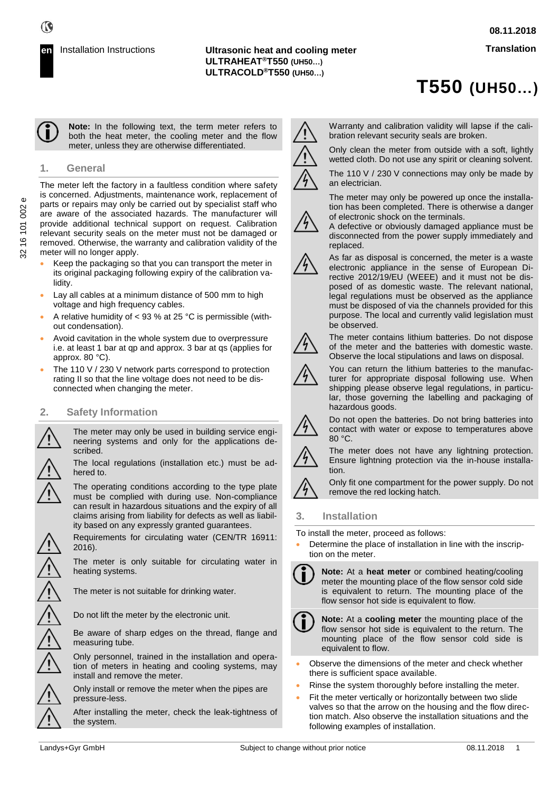# **T550 (UH50…)**

**Note:** In the following text, the term meter refers to both the heat meter, the cooling meter and the flow meter, unless they are otherwise differentiated.

# **1. General**

The meter left the factory in a faultless condition where safety is concerned. Adjustments, maintenance work, replacement of parts or repairs may only be carried out by specialist staff who are aware of the associated hazards. The manufacturer will provide additional technical support on request. Calibration relevant security seals on the meter must not be damaged or removed. Otherwise, the warranty and calibration validity of the meter will no longer apply.

- Keep the packaging so that you can transport the meter in its original packaging following expiry of the calibration validity.
- Lay all cables at a minimum distance of 500 mm to high voltage and high frequency cables.
- A relative humidity of  $<$  93 % at 25 °C is permissible (without condensation).
- Avoid cavitation in the whole system due to overpressure i.e. at least 1 bar at qp and approx. 3 bar at qs (applies for approx. 80 °C).
- The 110 V / 230 V network parts correspond to protection rating II so that the line voltage does not need to be disconnected when changing the meter.

# **2. Safety Information**

The meter may only be used in building service engineering systems and only for the applications described.

The local regulations (installation etc.) must be adhered to.

The operating conditions according to the type plate must be complied with during use. Non-compliance can result in hazardous situations and the expiry of all claims arising from liability for defects as well as liability based on any expressly granted guarantees.

Requirements for circulating water (CEN/TR 16911: 2016).

The meter is only suitable for circulating water in heating systems.

The meter is not suitable for drinking water.

Do not lift the meter by the electronic unit.

Be aware of sharp edges on the thread, flange and measuring tube.

Only personnel, trained in the installation and operation of meters in heating and cooling systems, may install and remove the meter.

Only install or remove the meter when the pipes are pressure-less.

After installing the meter, check the leak-tightness of the system.



Warranty and calibration validity will lapse if the calibration relevant security seals are broken.

Only clean the meter from outside with a soft, lightly wetted cloth. Do not use any spirit or cleaning solvent.

The 110 V / 230 V connections may only be made by an electrician.

The meter may only be powered up once the installation has been completed. There is otherwise a danger of electronic shock on the terminals.

A defective or obviously damaged appliance must be disconnected from the power supply immediately and replaced.



As far as disposal is concerned, the meter is a waste electronic appliance in the sense of European Directive 2012/19/EU (WEEE) and it must not be disposed of as domestic waste. The relevant national, legal regulations must be observed as the appliance must be disposed of via the channels provided for this purpose. The local and currently valid legislation must be observed.



The meter contains lithium batteries. Do not dispose of the meter and the batteries with domestic waste. Observe the local stipulations and laws on disposal.

You can return the lithium batteries to the manufacturer for appropriate disposal following use. When

shipping please observe legal regulations, in particular, those governing the labelling and packaging of hazardous goods.



Do not open the batteries. Do not bring batteries into contact with water or expose to temperatures above 80 °C.



The meter does not have any lightning protection. Ensure lightning protection via the in-house installation.

Only fit one compartment for the power supply. Do not remove the red locking hatch.

# **3. Installation**

To install the meter, proceed as follows:

• Determine the place of installation in line with the inscription on the meter.



**Note:** At a **heat meter** or combined heating/cooling meter the mounting place of the flow sensor cold side is equivalent to return. The mounting place of the flow sensor hot side is equivalent to flow.



**Note:** At a **cooling meter** the mounting place of the flow sensor hot side is equivalent to the return. The mounting place of the flow sensor cold side is equivalent to flow.

- Observe the dimensions of the meter and check whether there is sufficient space available.
- Rinse the system thoroughly before installing the meter.
- Fit the meter vertically or horizontally between two slide valves so that the arrow on the housing and the flow direction match. Also observe the installation situations and the following examples of installation.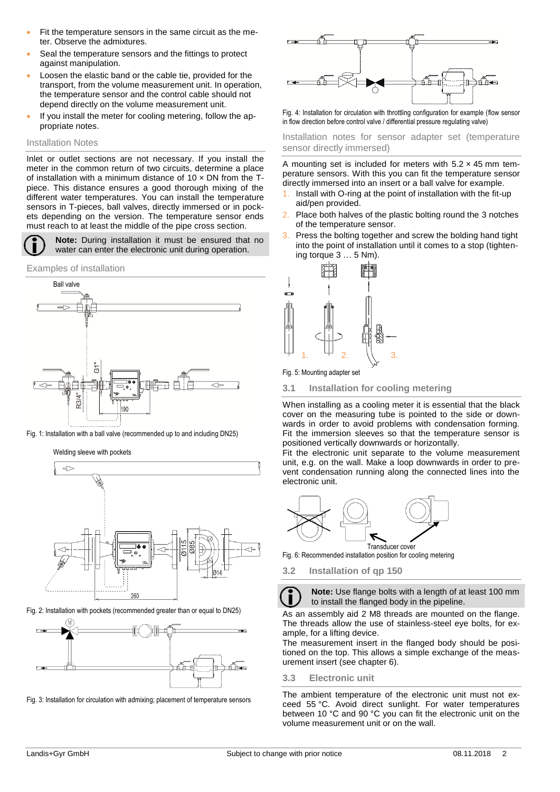- Fit the temperature sensors in the same circuit as the meter. Observe the admixtures.
- Seal the temperature sensors and the fittings to protect against manipulation.
- Loosen the elastic band or the cable tie, provided for the transport, from the volume measurement unit. In operation, the temperature sensor and the control cable should not depend directly on the volume measurement unit.
- If you install the meter for cooling metering, follow the appropriate notes.

#### Installation Notes

Inlet or outlet sections are not necessary. If you install the meter in the common return of two circuits, determine a place of installation with a minimum distance of  $10 \times DN$  from the Tpiece. This distance ensures a good thorough mixing of the different water temperatures. You can install the temperature sensors in T-pieces, ball valves, directly immersed or in pockets depending on the version. The temperature sensor ends must reach to at least the middle of the pipe cross section.

**Note:** During installation it must be ensured that no water can enter the electronic unit during operation.

Examples of installation



Fig. 1: Installation with a ball valve (recommended up to and including DN25)

Welding sleeve with pockets



Fig. 2: Installation with pockets (recommended greater than or equal to DN25)



Fig. 3: Installation for circulation with admixing; placement of temperature sensors



Fig. 4: Installation for circulation with throttling configuration for example (flow sensor in flow direction before control valve / differential pressure regulating valve)

Installation notes for sensor adapter set (temperature sensor directly immersed)

A mounting set is included for meters with  $5.2 \times 45$  mm temperature sensors. With this you can fit the temperature sensor directly immersed into an insert or a ball valve for example.

- Install with O-ring at the point of installation with the fit-up aid/pen provided.
- 2. Place both halves of the plastic bolting round the 3 notches of the temperature sensor.
- Press the bolting together and screw the bolding hand tight into the point of installation until it comes to a stop (tightening torque 3 … 5 Nm).



Fig. 5: Mounting adapter set

**3.1 Installation for cooling metering** 

When installing as a cooling meter it is essential that the black cover on the measuring tube is pointed to the side or downwards in order to avoid problems with condensation forming. Fit the immersion sleeves so that the temperature sensor is positioned vertically downwards or horizontally.

Fit the electronic unit separate to the volume measurement unit, e.g. on the wall. Make a loop downwards in order to prevent condensation running along the connected lines into the electronic unit.



Fig. 6: Recommended installation position for cooling metering

**3.2 Installation of qp 150** 

**Note:** Use flange bolts with a length of at least 100 mm to install the flanged body in the pipeline.

As an assembly aid 2 M8 threads are mounted on the flange. The threads allow the use of stainless-steel eye bolts, for example, for a lifting device.

The measurement insert in the flanged body should be positioned on the top. This allows a simple exchange of the measurement insert (see chapter 6).

#### **3.3 Electronic unit**

The ambient temperature of the electronic unit must not exceed 55 °C. Avoid direct sunlight. For water temperatures between 10 °C and 90 °C you can fit the electronic unit on the volume measurement unit or on the wall.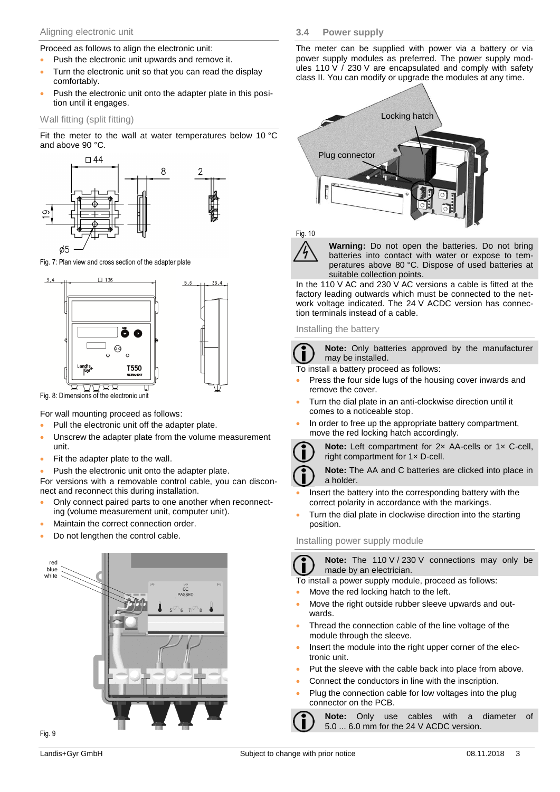#### Aligning electronic unit

Proceed as follows to align the electronic unit:

- Push the electronic unit upwards and remove it.
- Turn the electronic unit so that you can read the display comfortably.
- Push the electronic unit onto the adapter plate in this position until it engages.

## Wall fitting (split fitting)

Fit the meter to the wall at water temperatures below 10 °C and above 90 °C.



Fig. 7: Plan view and cross section of the adapter plate



Fig. 8: Dimensions of the electronic unit

For wall mounting proceed as follows:

- Pull the electronic unit off the adapter plate.
- Unscrew the adapter plate from the volume measurement unit.
- Fit the adapter plate to the wall.
- Push the electronic unit onto the adapter plate.

For versions with a removable control cable, you can disconnect and reconnect this during installation.

- Only connect paired parts to one another when reconnecting (volume measurement unit, computer unit).
- Maintain the correct connection order.
- Do not lengthen the control cable.



The meter can be supplied with power via a battery or via power supply modules as preferred. The power supply modules 110 V  $/$  230 V are encapsulated and comply with safety class II. You can modify or upgrade the modules at any time.



Fig. 10

**Warning:** Do not open the batteries. Do not bring batteries into contact with water or expose to temperatures above 80 °C. Dispose of used batteries at suitable collection points.

In the 110 V AC and 230 V AC versions a cable is fitted at the factory leading outwards which must be connected to the network voltage indicated. The 24 V ACDC version has connection terminals instead of a cable.

#### Installing the battery

**Note:** Only batteries approved by the manufacturer may be installed.

To install a battery proceed as follows:

- Press the four side lugs of the housing cover inwards and remove the cover.
- Turn the dial plate in an anti-clockwise direction until it comes to a noticeable stop.
- In order to free up the appropriate battery compartment, move the red locking hatch accordingly.



**Note:** Left compartment for 2× AA-cells or 1× C-cell, right compartment for 1× D-cell.

**Note:** The AA and C batteries are clicked into place in a holder.

- Insert the battery into the corresponding battery with the correct polarity in accordance with the markings.
- Turn the dial plate in clockwise direction into the starting position.

## Installing power supply module

**Note:** The 110 V / 230 V connections may only be made by an electrician.

To install a power supply module, proceed as follows:

- Move the red locking hatch to the left.
- Move the right outside rubber sleeve upwards and outwards.
- Thread the connection cable of the line voltage of the module through the sleeve.
- Insert the module into the right upper corner of the electronic unit.
- Put the sleeve with the cable back into place from above.
- Connect the conductors in line with the inscription.
- Plug the connection cable for low voltages into the plug connector on the PCB.

**Note:** Only use cables with a diameter of 5.0 ... 6.0 mm for the 24 V ACDC version.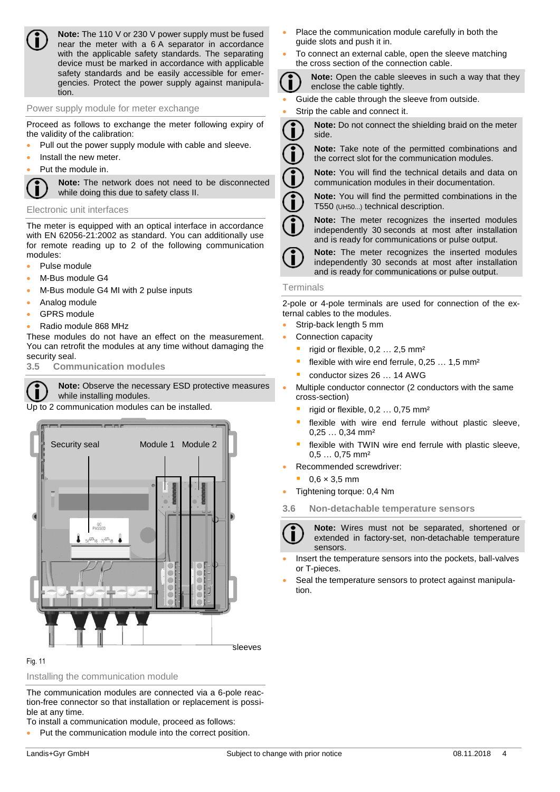

**Note:** The 110 V or 230 V power supply must be fused near the meter with a 6 A separator in accordance with the applicable safety standards. The separating device must be marked in accordance with applicable safety standards and be easily accessible for emergencies. Protect the power supply against manipulation.

## Power supply module for meter exchange

Proceed as follows to exchange the meter following expiry of the validity of the calibration:

- Pull out the power supply module with cable and sleeve.
- Install the new meter.
- Put the module in.

**Note:** The network does not need to be disconnected while doing this due to safety class II.

#### Electronic unit interfaces

The meter is equipped with an optical interface in accordance with EN 62056-21:2002 as standard. You can additionally use for remote reading up to 2 of the following communication modules:

- Pulse module
- M-Bus module G4
- M-Bus module G4 MI with 2 pulse inputs
- Analog module
- **GPRS** module
- Radio module 868 MHz

These modules do not have an effect on the measurement. You can retrofit the modules at any time without damaging the security seal.

**3.5 Communication modules**

**Note:** Observe the necessary ESD protective measures while installing modules.

Up to 2 communication modules can be installed.



#### Fig. 11

## Installing the communication module

The communication modules are connected via a 6-pole reaction-free connector so that installation or replacement is possible at any time.

To install a communication module, proceed as follows:

• Put the communication module into the correct position.

Landis+Gyr GmbH Subject to change with prior notice 08.11.2018 4

- Place the communication module carefully in both the guide slots and push it in.
- To connect an external cable, open the sleeve matching the cross section of the connection cable.

**Note:** Open the cable sleeves in such a way that they enclose the cable tightly.

- Guide the cable through the sleeve from outside.
- Strip the cable and connect it.

**Note:** Do not connect the shielding braid on the meter side.



**Note:** You will find the technical details and data on communication modules in their documentation.

**Note:** You will find the permitted combinations in the T550 (UH50...) technical description.

**Note:** The meter recognizes the inserted modules independently 30 seconds at most after installation and is ready for communications or pulse output.



**Note:** The meter recognizes the inserted modules independently 30 seconds at most after installation and is ready for communications or pulse output.

#### Terminals

2-pole or 4-pole terminals are used for connection of the external cables to the modules.

- Strip-back length 5 mm
- Connection capacity
	- rigid or flexible,  $0,2...2,5$  mm<sup>2</sup>
	- flexible with wire end ferrule,  $0,25...1,5$  mm<sup>2</sup>
	- conductor sizes 26 ... 14 AWG

• Multiple conductor connector (2 conductors with the same cross-section)

- rigid or flexible,  $0,2...0,75$  mm<sup>2</sup>
- flexible with wire end ferrule without plastic sleeve, 0,25 … 0,34 mm²
- flexible with TWIN wire end ferrule with plastic sleeve, 0,5 … 0,75 mm²
- Recommended screwdriver:
- $0.6 \times 3.5$  mm
- Tightening torque: 0,4 Nm
- **3.6 Non-detachable temperature sensors**



**Note:** Wires must not be separated, shortened or extended in factory-set, non-detachable temperature sensors.

- Insert the temperature sensors into the pockets, ball-valves or T-pieces.
- Seal the temperature sensors to protect against manipulation.

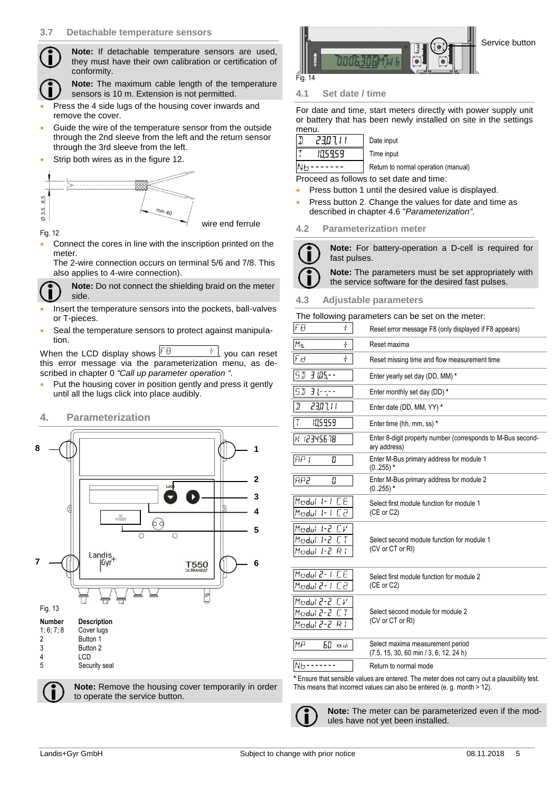

**Note:** If detachable temperature sensors are used, they must have their own calibration or certification of conformity.

**Note:** The maximum cable length of the temperature sensors is 10 m. Extension is not permitted.

- Press the 4 side lugs of the housing cover inwards and remove the cover.
- Guide the wire of the temperature sensor from the outside through the 2nd sleeve from the left and the return sensor through the 3rd sleeve from the left.
- Strip both wires as in the figure 12.



#### Fig. 12

• Connect the cores in line with the inscription printed on the meter.

The 2-wire connection occurs on terminal 5/6 and 7/8. This also applies to 4-wire connection).



**Note:** Do not connect the shielding braid on the meter side.

- Insert the temperature sensors into the pockets, ball-valves or T-pieces.
- Seal the temperature sensors to protect against manipulation.

When the LCD display shows  $\boxed{FB}$   $\frac{+1}{+}$ , you can reset this error message via the parameterization menu, as described in chapter [0](#page-4-0) *"Call up parameter operation "*.

Put the housing cover in position gently and press it gently until all the lugs click into place audibly.

# **4. Parameterization**



**Note:** Remove the housing cover temporarily in order to operate the service button.



## **4.1 Set date / time**

For date and time, start meters directly with power supply unit or battery that has been newly installed on site in the settings menu.

|     | 710 L F 2 | Date input  |
|-----|-----------|-------------|
|     | 105959    | Time input  |
| M 1 |           | Dath.m to i |

Return to normal operation (manual)

Proceed as follows to set date and time:

- Press button 1 until the desired value is displayed.
- Press button 2. Change the values for date and time as described in chapter 4.6 "*Parameterization"*.

#### **4.2 Parameterization meter**

**Note:** For battery-operation a D-cell is required for fast pulses. **Note:** The parameters must be set appropriately with the service software for the desired fast pulses.

#### **4.3 Adjustable parameters**

#### The following parameters can be set on the meter:

| FØ<br>÷                                            | Reset error message F8 (only displayed if F8 appears)                                                                                                                    |
|----------------------------------------------------|--------------------------------------------------------------------------------------------------------------------------------------------------------------------------|
| Mα<br>÷                                            | Reset maxima                                                                                                                                                             |
| Fd<br>÷                                            | Reset missing time and flow measurement time                                                                                                                             |
| 51<br>3 105,--                                     | Enter yearly set day (DD, MM) *                                                                                                                                          |
| 51<br>$3(-,-$                                      | Enter monthly set day (DD) *                                                                                                                                             |
| I<br>11,705                                        | Enter date (DD, MM, YY) *                                                                                                                                                |
| $\overline{I}$<br>105959                           | Enter time (hh, mm, ss) *                                                                                                                                                |
| K 12345678                                         | Enter 8-digit property number (corresponds to M-Bus second-<br>ary address)                                                                                              |
| AP I<br>Π                                          | Enter M-Bus primary address for module 1<br>$(0.255)$ *                                                                                                                  |
| <b>AP2</b><br>Π                                    | Enter M-Bus primary address for module 2<br>$(0.255)$ *                                                                                                                  |
| Modul 1-1 CE<br>Modul 1-1 C2                       | Select first module function for module 1<br>(CE or C2)                                                                                                                  |
| Modul 1-2 CV<br>Modul 1-2 CT<br>$Modul$ 1-2 $RI$   | Select second module function for module 1<br>(CV or CT or RI)                                                                                                           |
| Modul 2-1 CE<br>Modul 2- 1 C2                      | Select first module function for module 2<br>(CE or C2)                                                                                                                  |
| Modul 2-2 CV<br>Modul 2-2 CT<br>S-5 luboM<br>$R$ i | Select second module for module 2<br>(CV or CT or RI)                                                                                                                    |
| МIJ<br>60<br>m <sub>10</sub>                       | Select maxima measurement period<br>(7.5, 15, 30, 60 min / 3, 6, 12, 24 h)                                                                                               |
| $Nb -$                                             | Return to normal mode                                                                                                                                                    |
|                                                    | * Ensure that sensible values are entered. The meter does not carry out a plausibility test.<br>This means that incorrect values can also be entered (e. g. month > 12). |

<span id="page-4-0"></span>

**Note:** The meter can be parameterized even if the modules have not yet been installed.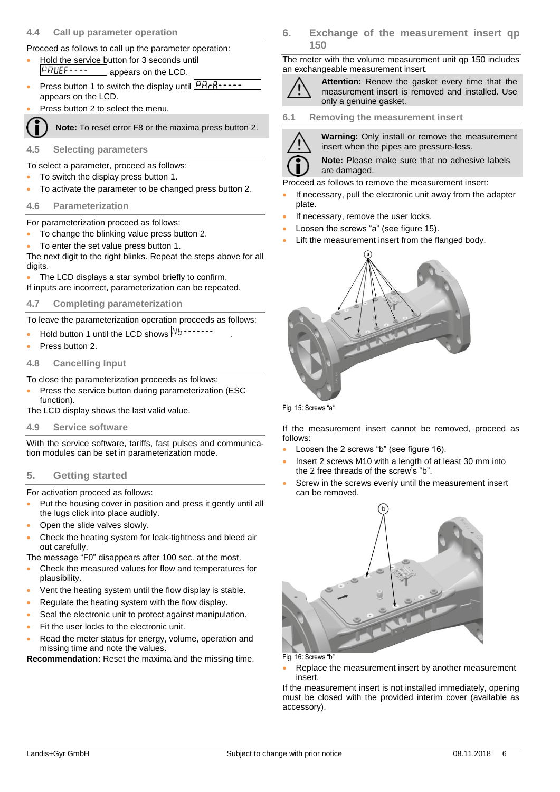### **4.4 Call up parameter operation**

Proceed as follows to call up the parameter operation:

- Hold the service button for 3 seconds until<br> $\sqrt{PRUEF}$ ----<br>annears on the LCD appears on the LCD.
- Press button 1 to switch the display until  $\sqrt{\frac{p_{H}P_{1}-P_{2}-P_{3}}{p_{H}P_{3}-P_{4}}}$ appears on the LCD.
- Press button 2 to select the menu.

**Note:** To reset error F8 or the maxima press button 2.

- **4.5 Selecting parameters**
- To select a parameter, proceed as follows:
- To switch the display press button 1.
- To activate the parameter to be changed press button 2.
- **4.6 Parameterization**

For parameterization proceed as follows:

- To change the blinking value press button 2.
- To enter the set value press button 1.

The next digit to the right blinks. Repeat the steps above for all digits.

- The LCD displays a star symbol briefly to confirm.
- If inputs are incorrect, parameterization can be repeated.

# **4.7 Completing parameterization**

To leave the parameterization operation proceeds as follows:

- Hold button 1 until the LCD shows  $\overline{\text{Mb}}$
- Press button 2.

# **4.8 Cancelling Input**

To close the parameterization proceeds as follows:

- Press the service button during parameterization (ESC function).
- The LCD display shows the last valid value.
- **4.9 Service software**

With the service software, tariffs, fast pulses and communication modules can be set in parameterization mode.

# **5. Getting started**

For activation proceed as follows:

- Put the housing cover in position and press it gently until all the lugs click into place audibly.
- Open the slide valves slowly.
- Check the heating system for leak-tightness and bleed air out carefully.
- The message "F0" disappears after 100 sec. at the most.
- Check the measured values for flow and temperatures for plausibility.
- Vent the heating system until the flow display is stable.
- Regulate the heating system with the flow display.
- Seal the electronic unit to protect against manipulation.
- Fit the user locks to the electronic unit.
- Read the meter status for energy, volume, operation and missing time and note the values.

**Recommendation:** Reset the maxima and the missing time.

**6. Exchange of the measurement insert qp 150**

The meter with the volume measurement unit qp 150 includes an exchangeable measurement insert.



**Attention:** Renew the gasket every time that the measurement insert is removed and installed. Use only a genuine gasket.

**6.1 Removing the measurement insert**



**Warning:** Only install or remove the measurement insert when the pipes are pressure-less.

**Note:** Please make sure that no adhesive labels are damaged.

Proceed as follows to remove the measurement insert:

- If necessary, pull the electronic unit away from the adapter plate.
- If necessary, remove the user locks.
- Loosen the screws "a" (see figure 15).
- Lift the measurement insert from the flanged body.



Fig. 15: Screws "a"

If the measurement insert cannot be removed, proceed as follows:

- Loosen the 2 screws "b" (see figure 16).
- Insert 2 screws M10 with a length of at least 30 mm into the 2 free threads of the screw's "b".
- Screw in the screws evenly until the measurement insert can be removed.



Fig. 16: Screws "b"

Replace the measurement insert by another measurement insert.

If the measurement insert is not installed immediately, opening must be closed with the provided interim cover (available as accessory).